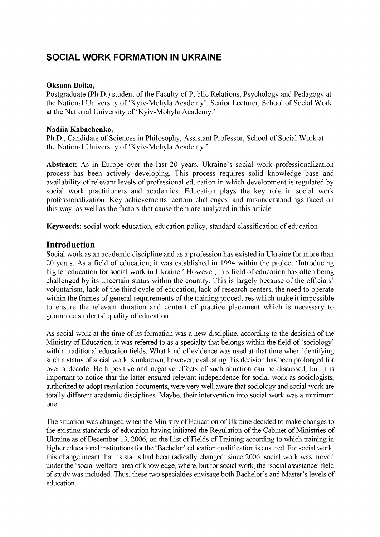# **SOCIAL WORK FORMATION IN UKRAINE**

#### **Oksana Boiko,**

Postgraduate (Ph.D.) student of the Faculty of Public Relations, Psychology and Pedagogy at the National University of 'Kyiv-Mohyla Academy', Senior Lecturer, School of Social Work at the National University of 'Kyiv-Mohyla Academy.'

#### **Nadiia Kabachenko,**

Ph.D., Candidate of Sciences in Philosophy, Assistant Professor, School of Social Work at the National University of 'Kyiv-Mohyla Academy.'

**Abstract:** As in Europe over the last 20 years, Ukraine's social work professionalization process has been actively developing. This process requires solid knowledge base and availability of relevant levels of professional education in which development is regulated by social work practitioners and academics. Education plays the key role in social work professionalization. Key achievements, certain challenges, and misunderstandings faced on this way, as well as the factors that cause them are analyzed in this article.

**Keywords:** social work education, education policy, standard classification of education.

### **Introduction**

Social work as an academic discipline and as a profession has existed in Ukraine for more than 20 years. As a field of education, it was established in 1994 within the project 'Introducing higher education for social work in Ukraine.' However, this field of education has often being challenged by its uncertain status within the country. This is largely because of the officials' voluntarism, lack of the third cycle of education, lack of research centers, the need to operate within the frames of general requirements of the training procedures which make it impossible to ensure the relevant duration and content of practice placement which is necessary to guarantee students' quality of education.

As social work at the time of its formation was a new discipline, according to the decision of the Ministry of Education, it was referred to as a specialty that belongs within the field of 'sociology' within traditional education fields. What kind of evidence was used at that time when identifying such a status of social work is unknown; however, evaluating this decision has been prolonged for over a decade. Both positive and negative effects of such situation can be discussed, but it is important to notice that the latter ensured relevant independence for social work as sociologists, authorized to adopt regulation documents, were very well aware that sociology and social work are totally different academic disciplines. Maybe, their intervention into social work was a minimum one.

The situation was changed when the Ministry of Education of Ukraine decided to make changes to the existing standards of education having initiated the Regulation of the Cabinet of Ministries of Ukraine as of December 13, 2006, on the List of Fields of Training according to which training in higher educational institutions for the 'Bachelor' education qualification is ensured. For social work, this change meant that its status had been radically changed: since 2006, social work was moved under the 'social welfare' area of knowledge, where, but for social work, the 'social assistance' field of study was included. Thus, these two specialties envisage both Bachelor's and Master's levels of education.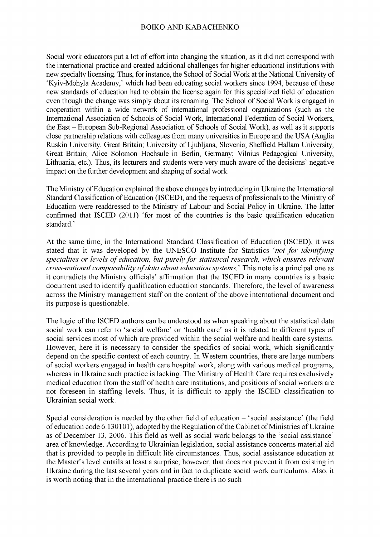#### BOIKO AND KABACHENKO

Social work educators put a lot of effort into changing the situation, as it did not correspond with the international practice and created additional challenges for higher educational institutions with new specialty licensing. Thus, for instance, the School of Social Work at the National University of 'Kyiv-Mohyla Academy,' which had been educating social workers since 1994, because of these new standards of education had to obtain the license again for this specialized field of education even though the change was simply about its renaming. The School of Social Work is engaged in cooperation within a wide network of international professional organizations (such as the International Association of Schools of Social Work, International Federation of Social Workers, the East - European Sub-Regional Association of Schools of Social Work), as well as it supports close partnership relations with colleagues from many universities in Europe and the USA (Anglia Ruskin University, Great Britain; University of Ljubljana, Slovenia; Sheffield Hallam University, Great Britain; Alice Solomon Hochsule in Berlin, Germany; Vilnius Pedagogical University, Lithuania, etc.). Thus, its lecturers and students were very much aware of the decisions' negative impact on the further development and shaping of social work.

The Ministry of Education explained the above changes by introducing in Ukraine the International Standard Classification of Education (ISCED), and the requests of professionals to the Ministry of Education were readdressed to the Ministry of Labour and Social Policy in Ukraine. The latter confirmed that ISCED (2011) 'for most of the countries is the basic qualification education standard.'

At the same time, in the International Standard Classification of Education (ISCED), it was stated that it was developed by the UNESCO Institute for Statistics *'not for identifying* specialties or levels of education, but purely for statistical research, which ensures relevant *cross-national comparability of data about education systems.* This note is a principal one as it contradicts the Ministry officials' affirmation that the ISCED in many countries is a basic document used to identify qualification education standards. Therefore, the level of awareness across the Ministry management staff on the content of the above international document and its purpose is questionable.

The logic of the ISCED authors can be understood as when speaking about the statistical data social work can refer to 'social welfare' or 'health care' as it is related to different types of social services most of which are provided within the social welfare and health care systems. However, here it is necessary to consider the specifics of social work, which significantly depend on the specific context of each country. In Western countries, there are large numbers of social workers engaged in health care hospital work, along with various medical programs, whereas in Ukraine such practice is lacking. The Ministry of Health Care requires exclusively medical education from the staff of health care institutions, and positions of social workers are not foreseen in staffing levels. Thus, it is difficult to apply the ISCED classification to Ukrainian social work.

Special consideration is needed by the other field of education  $-$  'social assistance' (the field of education code 6.130101), adopted by the Regulation of the Cabinet of Ministries of Ukraine as of December 13, 2006. This field as well as social work belongs to the 'social assistance' area of knowledge. According to Ukrainian legislation, social assistance concerns material aid that is provided to people in difficult life circumstances. Thus, social assistance education at the Master's level entails at least a surprise; however, that does not prevent it from existing in Ukraine during the last several years and in fact to duplicate social work curriculums. Also, it is worth noting that in the international practice there is no such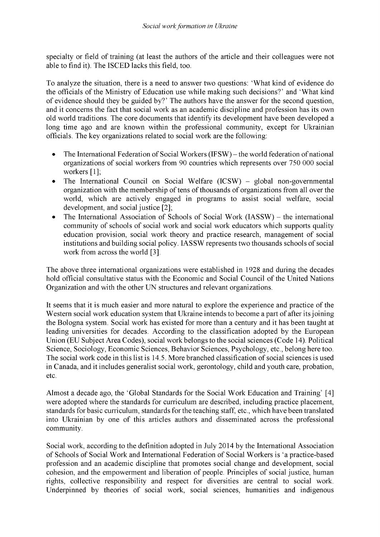specialty or field of training (at least the authors of the article and their colleagues were not able to find it). The ISCED lacks this field, too.

To analyze the situation, there is a need to answer two questions: 'What kind of evidence do the officials of the Ministry of Education use while making such decisions?' and 'What kind of evidence should they be guided by?' The authors have the answer for the second question, and it concerns the fact that social work as an academic discipline and profession has its own old world traditions. The core documents that identify its development have been developed a long time ago and are known within the professional community, except for Ukrainian officials. The key organizations related to social work are the following:

- The International Federation of Social Workers (IFSW) the world federation of national organizations of social workers from 90 countries which represents over 750 000 social workers [1];
- The International Council on Social Welfare (ICSW) global non-governmental organization with the membership of tens of thousands of organizations from all over the world, which are actively engaged in programs to assist social welfare, social development, and social justice [2];
- The International Association of Schools of Social Work (IASSW) the international community of schools of social work and social work educators which supports quality education provision, social work theory and practice research, management of social institutions and building social policy. IASSW represents two thousands schools of social work from across the world [3].

The above three international organizations were established in 1928 and during the decades hold official consultative status with the Economic and Social Council of the United Nations Organization and with the other UN structures and relevant organizations.

It seems that it is much easier and more natural to explore the experience and practice of the Western social work education system that Ukraine intends to become a part of after its joining the Bologna system. Social work has existed for more than a century and it has been taught at leading universities for decades. According to the classification adopted by the European Union (EU Subject Area Codes), social work belongs to the social sciences (Code 14). Political Science, Sociology, Economic Sciences, Behavior Sciences, Psychology, etc., belong here too. The social work code in this list is 14.5. More branched classification of social sciences is used in Canada, and it includes generalist social work, gerontology, child and youth care, probation, etc.

Almost a decade ago, the 'Global Standards for the Social Work Education and Training' [4] were adopted where the standards for curriculum are described, including practice placement, standards for basic curriculum, standards for the teaching staff, etc., which have been translated into Ukrainian by one of this articles authors and disseminated across the professional community.

Social work, according to the definition adopted in July 2014 by the International Association of Schools of Social Work and International Federation of Social Workers is 'a practice-based profession and an academic discipline that promotes social change and development, social cohesion, and the empowerment and liberation of people. Principles of social justice, human rights, collective responsibility and respect for diversities are central to social work. Underpinned by theories of social work, social sciences, humanities and indigenous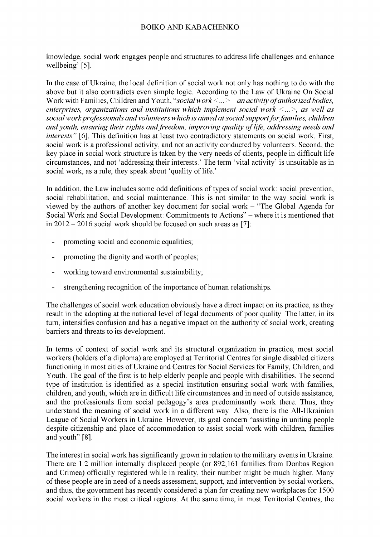#### BOIKO AND KABACHENKO

knowledge, social work engages people and structures to address life challenges and enhance wellbeing' [5].

In the case of Ukraine, the local definition of social work not only has nothing to do with the above but it also contradicts even simple logic. According to the Law of Ukraine On Social Work with Families, Children and Youth, "*social work* <... > - an activity of authorized bodies, *enterprises, organizations and institutions which implement social work <...>, as well as social work professionals and volunteers which is aimed at social supportfor families, children and youth, ensuring their rights and freedom, improving quality of life, addressing needs and interests"* [6]. This definition has at least two contradictory statements on social work. First, social work is a professional activity, and not an activity conducted by volunteers. Second, the key place in social work structure is taken by the very needs of clients, people in difficult life circumstances, and not 'addressing their interests.' The term 'vital activity' is unsuitable as in social work, as a rule, they speak about 'quality of life.'

In addition, the Law includes some odd definitions of types of social work: social prevention, social rehabilitation, and social maintenance. This is not similar to the way social work is viewed by the authors of another key document for social work - "The Global Agenda for Social Work and Social Development: Commitments to Actions" - where it is mentioned that in 2012 - 2016 social work should be focused on such areas as [7]:

- promoting social and economic equalities;
- promoting the dignity and worth of peoples;
- working toward environmental sustainability;
- strengthening recognition of the importance of human relationships.

The challenges of social work education obviously have a direct impact on its practice, as they result in the adopting at the national level of legal documents of poor quality. The latter, in its turn, intensifies confusion and has a negative impact on the authority of social work, creating barriers and threats to its development.

In terms of context of social work and its structural organization in practice, most social workers (holders of a diploma) are employed at Territorial Centres for single disabled citizens functioning in most cities of Ukraine and Centres for Social Services for Family, Children, and Youth. The goal of the first is to help elderly people and people with disabilities. The second type of institution is identified as a special institution ensuring social work with families, children, and youth, which are in difficult life circumstances and in need of outside assistance, and the professionals from social pedagogy's area predominantly work there. Thus, they understand the meaning of social work in a different way. Also, there is the All-Ukrainian League of Social Workers in Ukraine. However, its goal concern "assisting in uniting people despite citizenship and place of accommodation to assist social work with children, families and youth" [8].

The interest in social work has significantly grown in relation to the military events in Ukraine. There are 1.2 million internally displaced people (or 892,161 families from Donbas Region and Crimea) officially registered while in reality, their number might be much higher. Many of these people are in need of a needs assessment, support, and intervention by social workers, and thus, the government has recently considered a plan for creating new workplaces for 1500 social workers in the most critical regions. At the same time, in most Territorial Centres, the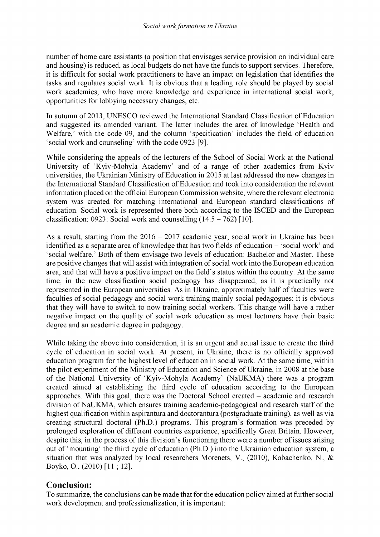number of home care assistants (a position that envisages service provision on individual care and housing) is reduced, as local budgets do not have the funds to support services. Therefore, it is difficult for social work practitioners to have an impact on legislation that identifies the tasks and regulates social work. It is obvious that a leading role should be played by social work academics, who have more knowledge and experience in international social work, opportunities for lobbying necessary changes, etc.

In autumn of 2013, UNESCO reviewed the International Standard Classification of Education and suggested its amended variant. The latter includes the area of knowledge 'Health and Welfare,' with the code 09, and the column 'specification' includes the field of education 'social work and counseling' with the code 0923 [9].

While considering the appeals of the lecturers of the School of Social Work at the National University of 'Kyiv-Mohyla Academy' and of a range of other academics from Kyiv universities, the Ukrainian Ministry of Education in 2015 at last addressed the new changes in the International Standard Classification of Education and took into consideration the relevant information placed on the official European Commission website, where the relevant electronic system was created for matching international and European standard classifications of education. Social work is represented there both according to the ISCED and the European classification: 0923: Social work and counselling  $(14.5 - 762)$  [10].

As a result, starting from the  $2016 - 2017$  academic year, social work in Ukraine has been identified as a separate area of knowledge that has two fields of education – 'social work' and 'social welfare.' Both of them envisage two levels of education: Bachelor and Master. These are positive changes that will assist with integration of social work into the European education area, and that will have a positive impact on the field's status within the country. At the same time, in the new classification social pedagogy has disappeared, as it is practically not represented in the European universities. As in Ukraine, approximately half of faculties were faculties of social pedagogy and social work training mainly social pedagogues; it is obvious that they will have to switch to now training social workers. This change will have a rather negative impact on the quality of social work education as most lecturers have their basic degree and an academic degree in pedagogy.

While taking the above into consideration, it is an urgent and actual issue to create the third cycle of education in social work. At present, in Ukraine, there is no officially approved education program for the highest level of education in social work. At the same time, within the pilot experiment of the Ministry of Education and Science of Ukraine, in 2008 at the base of the National University of 'Kyiv-Mohyla Academy' (NaUKMA) there was a program created aimed at establishing the third cycle of education according to the European approaches. With this goal, there was the Doctoral School created - academic and research division of NaUKMA, which ensures training academic-pedagogical and research staff of the highest qualification within aspirantura and doctorantura (postgraduate training), as well as via creating structural doctoral (Ph.D.) programs. This program's formation was preceded by prolonged exploration of different countries experience, specifically Great Britain. However, despite this, in the process of this division's functioning there were a number of issues arising out of 'mounting' the third cycle of education (Ph.D.) into the Ukrainian education system, a situation that was analyzed by local researchers Morenets, V., (2010), Kabachenko, N., & Boyko, O., (2010) [11 ; 12].

### **Conclusion:**

To summarize, the conclusions can be made that for the education policy aimed at further social work development and professionalization, it is important: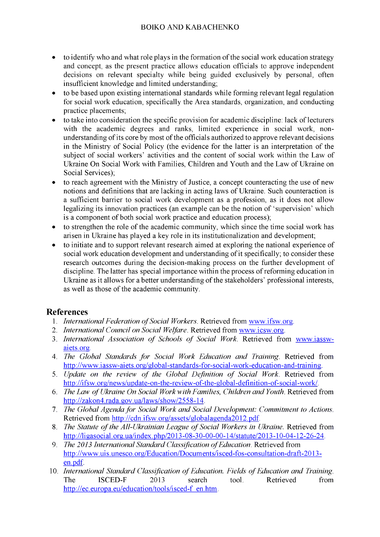- to identify who and what role plays in the formation of the social work education strategy and concept, as the present practice allows education officials to approve independent decisions on relevant specialty while being guided exclusively by personal, often insufficient knowledge and limited understanding;
- to be based upon existing international standards while forming relevant legal regulation for social work education, specifically the Area standards, organization, and conducting practice placements;
- to take into consideration the specific provision for academic discipline: lack of lecturers with the academic degrees and ranks, limited experience in social work, nonunderstanding of its core by most of the officials authorized to approve relevant decisions in the Ministry of Social Policy (the evidence for the latter is an interpretation of the subject of social workers' activities and the content of social work within the Law of Ukraine On Social Work with Families, Children and Youth and the Law of Ukraine on Social Services);
- to reach agreement with the Ministry of Justice, a concept counteracting the use of new notions and definitions that are lacking in acting laws of Ukraine. Such counteraction is a sufficient barrier to social work development as a profession, as it does not allow legalizing its innovation practices (an example can be the notion of 'supervision' which is a component of both social work practice and education process);
- to strengthen the role of the academic community, which since the time social work has arisen in Ukraine has played a key role in its institutionalization and development;
- to initiate and to support relevant research aimed at exploring the national experience of social work education development and understanding of it specifically; to consider these research outcomes during the decision-making process on the further development of discipline. The latter has special importance within the process of reforming education in Ukraine as it allows for a better understanding of the stakeholders' professional interests, as well as those of the academic community.

## **References**

- 1. *International Federation of Social Workers*. Retrieved from [www.ifsw.org.](http://www.ifsw.org/)
- 2. *International Council on Social Welfare.* Retrieved from [www.icsw.org.](http://www.icsw.org/)
- 3. *International Association of Schools of Social Work*. Retrieved from [www.iassw](http://www.iassw-aiets.org/)[aiets.org.](http://www.iassw-aiets.org/)
- 4. *The Global Standards for Social Work Education and Training.* Retrieved from [http://www.iassw-aiets.org/global-standards-for-social-work-education-and-training.](http://www.iassw-aiets.org/global-standards-for-social-work-education-and-training)
- 5. *Update on the review of the Global Definition of Social Work.* Retrieved from [http://ifsw.org/news/update-on-the-review-of-the-global-definition-of-social-work/.](http://ifsw.org/news/update-on-the-review-of-the-global-definition-of-social-work/)
- 6. *The Law of Ukraine On Social Work with Families, Children and Youth.* Retrieved from [http://zakon4.rada.gov.ua/laws/show/2558-14.](http://zakon4.rada.gov.ua/laws/show/2558-14)
- 7. *The Global Agenda for Social Work and Social Development: Commitment to Actions.* Retrieved from [http://cdn.ifsw.org/assets/globalagenda2012.pdf.](http://cdn.ifsw.org/assets/globalagenda2012.pdf)
- 8. *The Statute of the All-Ukrainian League of Social Workers in Ukraine.* Retrieved from [http://ligasocial.org.ua/index.php/2013-08-30-00-00-14/statute/2013-10-04-12-26-24.](http://ligasocial.org.ua/index.php/2013-08-30-00-00-14/statute/2013-10-04-12-26-24)
- 9. *The 2013 International Standard Classification of Education*. Retrieved from [http://www.uis.unesco.org/Education/Documents/isced-fos-consultation-draft-2013](http://www.uis.unesco.org/Education/Documents/isced-fos-consultation-draft-2013-en.pdf) [en.pdf.](http://www.uis.unesco.org/Education/Documents/isced-fos-consultation-draft-2013-en.pdf)
- 10. *International Standard Classification of Education. Fields of Education and Training.* The ISCED-F 2013 search tool. Retrieved from [http://ec.europa.eu/education/tools/isced-f en.htm.](http://ec.europa.eu/education/tools/isced-f_en.htm)